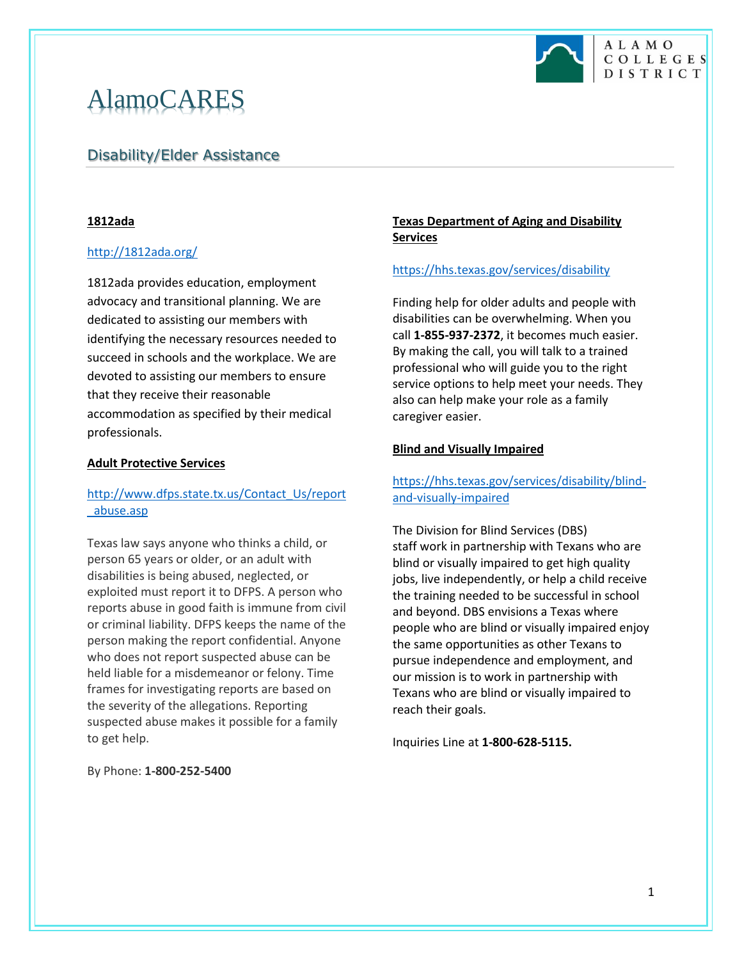

# AlamoCARES

# Disability/Elder Assistance

### **1812ada**

### <http://1812ada.org/>

1812ada provides education, employment advocacy and transitional planning. We are dedicated to assisting our members with identifying the necessary resources needed to succeed in schools and the workplace. We are devoted to assisting our members to ensure that they receive their reasonable accommodation as specified by their medical professionals.

### **Adult Protective Services**

## [http://www.dfps.state.tx.us/Contact\\_Us/report](http://www.dfps.state.tx.us/Contact_Us/report_abuse.asp) [\\_abuse.asp](http://www.dfps.state.tx.us/Contact_Us/report_abuse.asp)

Texas law says anyone who thinks a child, or person 65 years or older, or an adult with disabilities is being abused, neglected, or exploited must report it to DFPS. A person who reports abuse in good faith is immune from civil or criminal liability. DFPS keeps the name of the person making the report confidential. Anyone who does not report suspected abuse can be held liable for a misdemeanor or felony. Time frames for investigating reports are based on the severity of the allegations. Reporting suspected abuse makes it possible for a family to get help.

By Phone: **1-800-252-5400**

### **Texas Department of Aging and Disability Services**

### <https://hhs.texas.gov/services/disability>

Finding help for older adults and people with disabilities can be overwhelming. When you call **1-855-937-2372**, it becomes much easier. By making the call, you will talk to a trained professional who will guide you to the right service options to help meet your needs. They also can help make your role as a family caregiver easier.

### **Blind and Visually Impaired**

## [https://hhs.texas.gov/services/disability/blind](https://hhs.texas.gov/services/disability/blind-and-visually-impaired)[and-visually-impaired](https://hhs.texas.gov/services/disability/blind-and-visually-impaired)

The Division for Blind Services (DBS) staff work in partnership with Texans who are blind or visually impaired to get high quality jobs, live independently, or help a child receive the training needed to be successful in school and beyond. DBS envisions a Texas where people who are blind or visually impaired enjoy the same opportunities as other Texans to pursue independence and employment, and our mission is to work in partnership with Texans who are blind or visually impaired to reach their goals.

Inquiries Line at **1-800-628-5115.**